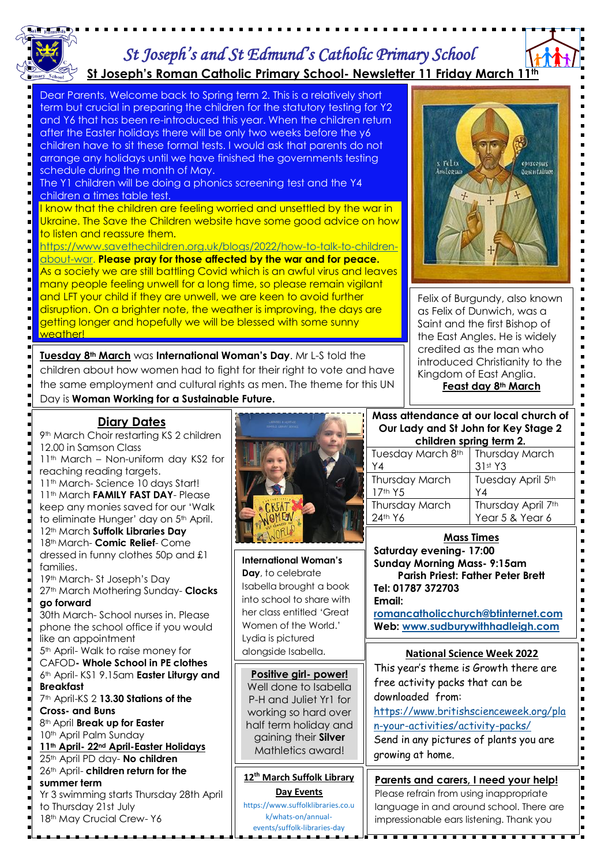